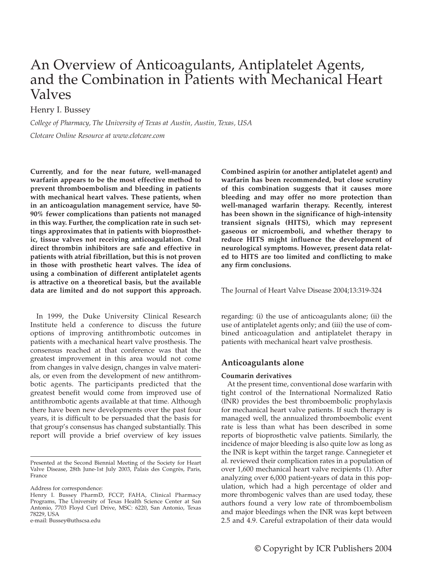# An Overview of Anticoagulants, Antiplatelet Agents, and the Combination in Patients with Mechanical Heart Valves

## Henry I. Bussey

*College of Pharmacy, The University of Texas at Austin, Austin, Texas, USA Clotcare Online Resource at www.clotcare.com*

**Currently, and for the near future, well-managed warfarin appears to be the most effective method to prevent thromboembolism and bleeding in patients with mechanical heart valves. These patients, when in an anticoagulation management service, have 50- 90% fewer complications than patients not managed in this way. Further, the complication rate in such settings approximates that in patients with bioprosthetic, tissue valves not receiving anticoagulation. Oral direct thrombin inhibitors are safe and effective in patients with atrial fibrillation, but this is not proven in those with prosthetic heart valves. The idea of using a combination of different antiplatelet agents is attractive on a theoretical basis, but the available data are limited and do not support this approach.**

In 1999, the Duke University Clinical Research Institute held a conference to discuss the future options of improving antithrombotic outcomes in patients with a mechanical heart valve prosthesis. The consensus reached at that conference was that the greatest improvement in this area would not come from changes in valve design, changes in valve materials, or even from the development of new antithrombotic agents. The participants predicted that the greatest benefit would come from improved use of antithrombotic agents available at that time. Although there have been new developments over the past four years, it is difficult to be persuaded that the basis for that group's consensus has changed substantially. This report will provide a brief overview of key issues

Address for correspondence:

**Combined aspirin (or another antiplatelet agent) and warfarin has been recommended, but close scrutiny of this combination suggests that it causes more bleeding and may offer no more protection than well-managed warfarin therapy. Recently, interest has been shown in the significance of high-intensity transient signals (HITS), which may represent gaseous or microemboli, and whether therapy to reduce HITS might influence the development of neurological symptoms. However, present data related to HITS are too limited and conflicting to make any firm conclusions.**

The Journal of Heart Valve Disease 2004;13:319-324

regarding: (i) the use of anticoagulants alone; (ii) the use of antiplatelet agents only; and (iii) the use of combined anticoagulation and antiplatelet therapy in patients with mechanical heart valve prosthesis.

## **Anticoagulants alone**

#### **Coumarin derivatives**

At the present time, conventional dose warfarin with tight control of the International Normalized Ratio (INR) provides the best thromboembolic prophylaxis for mechanical heart valve patients. If such therapy is managed well, the annualized thromboembolic event rate is less than what has been described in some reports of bioprosthetic valve patients. Similarly, the incidence of major bleeding is also quite low as long as the INR is kept within the target range. Cannegieter et al. reviewed their complication rates in a population of over 1,600 mechanical heart valve recipients (1). After analyzing over 6,000 patient-years of data in this population, which had a high percentage of older and more thrombogenic valves than are used today, these authors found a very low rate of thromboembolism and major bleedings when the INR was kept between 2.5 and 4.9. Careful extrapolation of their data would

Presented at the Second Biennial Meeting of the Society for Heart Valve Disease, 28th June-1st July 2003, Palais des Congrès, Paris, France

Henry I. Bussey PharmD, FCCP, FAHA, Clinical Pharmacy Programs, The University of Texas Health Science Center at San Antonio, 7703 Floyd Curl Drive, MSC: 6220, San Antonio, Texas 78229, USA

e-mail: Bussey@uthscsa.edu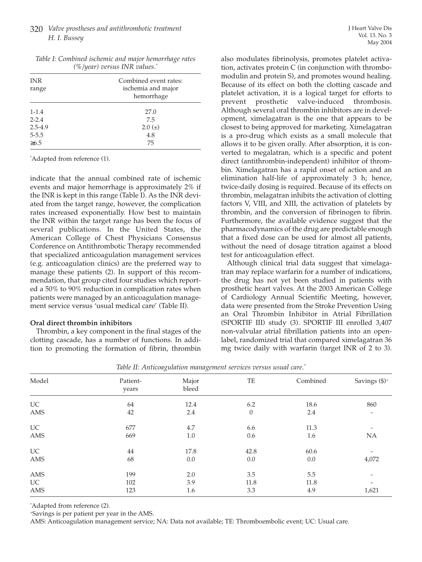## 320 *Valve prostheses and antithrombotic treatment H. I. Bussey*

| <b>INR</b>  | Combined event rates: |  |  |  |
|-------------|-----------------------|--|--|--|
| range       | ischemia and major    |  |  |  |
|             | hemorrhage            |  |  |  |
| $1 - 1.4$   | 27.0                  |  |  |  |
| $2 - 2.4$   | 7.5                   |  |  |  |
| $2.5 - 4.9$ | $2.0 (\pm)$           |  |  |  |
| $5 - 5.5$   | 4.8                   |  |  |  |
| $\geq 6.5$  | 75                    |  |  |  |

|  |                                  |  | Table I: Combined ischemic and major hemorrhage rates |  |
|--|----------------------------------|--|-------------------------------------------------------|--|
|  | $(\%$ /year) versus INR values.* |  |                                                       |  |

\* Adapted from reference (1).

indicate that the annual combined rate of ischemic events and major hemorrhage is approximately 2% if the INR is kept in this range (Table I). As the INR deviated from the target range, however, the complication rates increased exponentially. How best to maintain the INR within the target range has been the focus of several publications. In the United States, the American College of Chest Physicians Consensus Conference on Antithrombotic Therapy recommended that specialized anticoagulation management services (e.g. anticoagulation clinics) are the preferred way to manage these patients (2). In support of this recommendation, that group cited four studies which reported a 50% to 90% reduction in complication rates when patients were managed by an anticoagulation management service versus 'usual medical care' (Table II).

#### **Oral direct thrombin inhibitors**

Thrombin, a key component in the final stages of the clotting cascade, has a number of functions. In addition to promoting the formation of fibrin, thrombin also modulates fibrinolysis, promotes platelet activation, activates protein C (in conjunction with thrombomodulin and protein S), and promotes wound healing. Because of its effect on both the clotting cascade and platelet activation, it is a logical target for efforts to prevent prosthetic valve-induced thrombosis. Although several oral thrombin inhibitors are in development, ximelagatran is the one that appears to be closest to being approved for marketing. Ximelagatran is a pro-drug which exists as a small molecule that allows it to be given orally. After absorption, it is converted to megalatran, which is a specific and potent direct (antithrombin-independent) inhibitor of thrombin. Ximelagatran has a rapid onset of action and an elimination half-life of approximately 3 h; hence, twice-daily dosing is required. Because of its effects on thrombin, melagatran inhibits the activation of clotting factors V, VIII, and XIII, the activation of platelets by thrombin, and the conversion of fibrinogen to fibrin. Furthermore, the available evidence suggest that the pharmacodynamics of the drug are predictable enough that a fixed dose can be used for almost all patients, without the need of dosage titration against a blood test for anticoagulation effect.

Although clinical trial data suggest that ximelagatran may replace warfarin for a number of indications, the drug has not yet been studied in patients with prosthetic heart valves. At the 2003 American College of Cardiology Annual Scientific Meeting, however, data were presented from the Stroke Prevention Using an Oral Thrombin Inhibitor in Atrial Fibrillation (SPORTIF III) study (3). SPORTIF III enrolled 3,407 non-valvular atrial fibrillation patients into an openlabel, randomized trial that compared ximelagatran 36 mg twice daily with warfarin (target INR of 2 to 3).

| Model      | Patient- | Major | TE           | Combined | Savings $(\$)^+$         |
|------------|----------|-------|--------------|----------|--------------------------|
|            | years    | bleed |              |          |                          |
| UC         | 64       | 12.4  | 6.2          | 18.6     | 860                      |
| AMS        | 42       | 2.4   | $\mathbf{0}$ | 2.4      | $\overline{\phantom{a}}$ |
| <b>UC</b>  | 677      | 4.7   | 6.6          | 11.3     | -                        |
| <b>AMS</b> | 669      | 1.0   | 0.6          | 1.6      | <b>NA</b>                |
| UC         | 44       | 17.8  | 42.8         | 60.6     | $\overline{\phantom{a}}$ |
| AMS        | 68       | 0.0   | 0.0          | 0.0      | 4,072                    |
| AMS        | 199      | 2.0   | 3.5          | 5.5      | $\overline{\phantom{a}}$ |
| UC         | 102      | 3.9   | 11.8         | 11.8     |                          |
| AMS        | 123      | 1.6   | 3.3          | 4.9      | 1,621                    |

*Table II: Anticoagulation management services versus usual care.\**

\* Adapted from reference (2).

+Savings is per patient per year in the AMS.

AMS: Anticoagulation management service; NA: Data not available; TE: Thromboembolic event; UC: Usual care.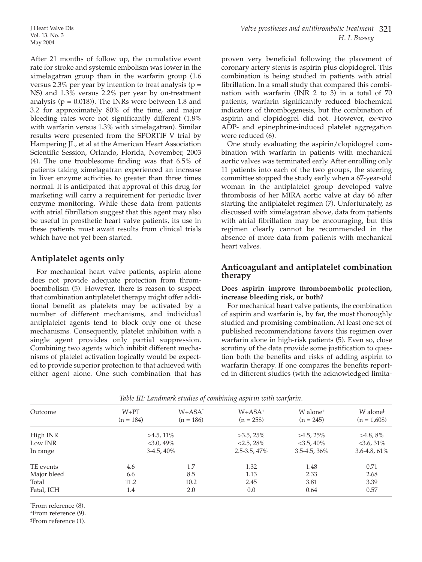After 21 months of follow up, the cumulative event rate for stroke and systemic embolism was lower in the ximelagatran group than in the warfarin group (1.6 versus 2.3% per year by intention to treat analysis ( $p =$ NS) and 1.3% versus 2.2% per year by on-treatment analysis ( $p = 0.018$ )). The INRs were between 1.8 and 3.2 for approximately 80% of the time, and major bleeding rates were not significantly different (1.8% with warfarin versus 1.3% with ximelagatran). Similar results were presented from the SPORTIF V trial by Hampering JL, et al at the American Heart Association Scientific Session, Orlando, Florida, November, 2003 (4). The one troublesome finding was that 6.5% of patients taking ximelagatran experienced an increase in liver enzyme activities to greater than three times normal. It is anticipated that approval of this drug for marketing will carry a requirement for periodic liver enzyme monitoring. While these data from patients with atrial fibrillation suggest that this agent may also be useful in prosthetic heart valve patients, its use in these patients must await results from clinical trials which have not yet been started.

## **Antiplatelet agents only**

For mechanical heart valve patients, aspirin alone does not provide adequate protection from thromboembolism (5). However, there is reason to suspect that combination antiplatelet therapy might offer additional benefit as platelets may be activated by a number of different mechanisms, and individual antiplatelet agents tend to block only one of these mechanisms. Consequently, platelet inhibition with a single agent provides only partial suppression. Combining two agents which inhibit different mechanisms of platelet activation logically would be expected to provide superior protection to that achieved with either agent alone. One such combination that has

proven very beneficial following the placement of coronary artery stents is aspirin plus clopidogrel. This combination is being studied in patients with atrial fibrillation. In a small study that compared this combination with warfarin (INR 2 to 3) in a total of 70 patients, warfarin significantly reduced biochemical indicators of thrombogenesis, but the combination of aspirin and clopidogrel did not. However, ex-vivo ADP- and epinephrine-induced platelet aggregation were reduced (6).

One study evaluating the aspirin/clopidogrel combination with warfarin in patients with mechanical aortic valves was terminated early. After enrolling only 11 patients into each of the two groups, the steering committee stopped the study early when a 67-year-old woman in the antiplatelet group developed valve thrombosis of her MIRA aortic valve at day 66 after starting the antiplatelet regimen (7). Unfortunately, as discussed with ximelagatran above, data from patients with atrial fibrillation may be encouraging, but this regimen clearly cannot be recommended in the absence of more data from patients with mechanical heart valves.

## **Anticoagulant and antiplatelet combination therapy**

## **Does aspirin improve thromboembolic protection, increase bleeding risk, or both?**

For mechanical heart valve patients, the combination of aspirin and warfarin is, by far, the most thoroughly studied and promising combination. At least one set of published recommendations favors this regimen over warfarin alone in high-risk patients (5). Even so, close scrutiny of the data provide some justification to question both the benefits and risks of adding aspirin to warfarin therapy. If one compares the benefits reported in different studies (with the acknowledged limita-

|                                      |                          | $\circ$                  |                                     |                                       |
|--------------------------------------|--------------------------|--------------------------|-------------------------------------|---------------------------------------|
| $W + Pl^*$<br>Outcome<br>$(n = 184)$ | $W+ASA^*$<br>$(n = 186)$ | $W+ASA^+$<br>$(n = 258)$ | W alone <sup>+</sup><br>$(n = 245)$ | W alone <sup>‡</sup><br>$(n = 1,608)$ |
| High INR                             | $>4.5, 11\%$             | $>3.5, 25\%$             | $>4.5, 25\%$                        | $>4.8,8\%$                            |
| Low INR                              | $<$ 3.0, 49%             |                          | $<$ 3.5, 40%                        | $<$ 3.6, 31\%                         |
| In range                             | $3-4.5, 40\%$            |                          | $3.5 - 4.5, 36\%$                   | $3.6 - 4.8, 61\%$                     |
| TE events<br>4.6                     | 1.7                      | 1.32                     | 1.48                                | 0.71                                  |
| Major bleed<br>6.6                   | 8.5                      | 1.13                     | 2.33                                | 2.68                                  |
| Total<br>11.2                        | 10.2                     | 2.45                     | 3.81                                | 3.39                                  |
| Fatal, ICH<br>1.4                    | 2.0                      | 0.0                      | 0.64                                | 0.57                                  |

*Table III: Landmark studies of combining aspirin with warfarin.*

\* From reference (8).

+From reference (9).

‡ From reference (1).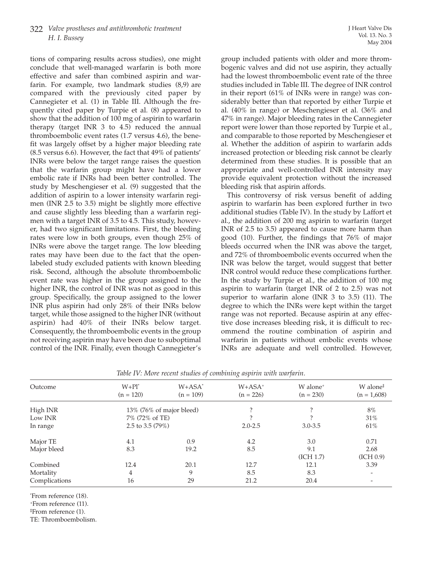tions of comparing results across studies), one might conclude that well-managed warfarin is both more effective and safer than combined aspirin and warfarin. For example, two landmark studies (8,9) are compared with the previously cited paper by Cannegieter et al. (1) in Table III. Although the frequently cited paper by Turpie et al. (8) appeared to show that the addition of 100 mg of aspirin to warfarin therapy (target INR 3 to 4.5) reduced the annual thromboembolic event rates (1.7 versus 4.6), the benefit was largely offset by a higher major bleeding rate (8.5 versus 6.6). However, the fact that 49% of patients' INRs were below the target range raises the question that the warfarin group might have had a lower embolic rate if INRs had been better controlled. The study by Meschengieser et al. (9) suggested that the addition of aspirin to a lower intensity warfarin regimen (INR 2.5 to 3.5) might be slightly more effective and cause slightly less bleeding than a warfarin regimen with a target INR of 3.5 to 4.5. This study, however, had two significant limitations. First, the bleeding rates were low in both groups, even though 25% of INRs were above the target range. The low bleeding rates may have been due to the fact that the openlabeled study excluded patients with known bleeding risk. Second, although the absolute thromboembolic event rate was higher in the group assigned to the higher INR, the control of INR was not as good in this group. Specifically, the group assigned to the lower INR plus aspirin had only 28% of their INRs below target, while those assigned to the higher INR (without aspirin) had 40% of their INRs below target. Consequently, the thromboembolic events in the group not receiving aspirin may have been due to suboptimal control of the INR. Finally, even though Cannegieter's

group included patients with older and more thrombogenic valves and did not use aspirin, they actually had the lowest thromboembolic event rate of the three studies included in Table III. The degree of INR control in their report (61% of INRs were in range) was considerably better than that reported by either Turpie et al. (40% in range) or Meschengieser et al. (36% and 47% in range). Major bleeding rates in the Cannegieter report were lower than those reported by Turpie et al., and comparable to those reported by Meschengieser et al. Whether the addition of aspirin to warfarin adds increased protection or bleeding risk cannot be clearly determined from these studies. It is possible that an appropriate and well-controlled INR intensity may provide equivalent protection without the increased bleeding risk that aspirin affords.

This controversy of risk versus benefit of adding aspirin to warfarin has been explored further in two additional studies (Table IV). In the study by Laffort et al., the addition of 200 mg aspirin to warfarin (target INR of 2.5 to 3.5) appeared to cause more harm than good (10). Further, the findings that 76% of major bleeds occurred when the INR was above the target, and 72% of thromboembolic events occurred when the INR was below the target, would suggest that better INR control would reduce these complications further. In the study by Turpie et al., the addition of 100 mg aspirin to warfarin (target INR of 2 to 2.5) was not superior to warfarin alone (INR 3 to 3.5) (11). The degree to which the INRs were kept within the target range was not reported. Because aspirin at any effective dose increases bleeding risk, it is difficult to recommend the routine combination of aspirin and warfarin in patients without embolic events whose INRs are adequate and well controlled. However,

| $W + Pl^*$<br>$(n = 120)$ | $W+ASA^*$<br>$(n = 109)$ | $W+ASA^+$<br>$(n = 226)$    | W alone <sup>+</sup><br>$(n = 230)$ | W alone <sup>‡</sup><br>$(n = 1,608)$ |
|---------------------------|--------------------------|-----------------------------|-------------------------------------|---------------------------------------|
|                           |                          |                             |                                     | 8%                                    |
| 7% (72% of TE)            |                          |                             |                                     | 31%                                   |
| 2.5 to 3.5 $(79\%)$       |                          | $2.0 - 2.5$                 | $3.0 - 3.5$                         | 61%                                   |
| 4.1                       | 0.9                      | 4.2                         | 3.0                                 | 0.71                                  |
| 8.3                       | 19.2                     | 8.5                         | 9.1                                 | 2.68                                  |
|                           |                          |                             | (ICH 1.7)                           | (ICH 0.9)                             |
| 12.4                      | 20.1                     | 12.7                        | 12.1                                | 3.39                                  |
| 4                         | 9                        | 8.5                         | 8.3                                 | $\qquad \qquad \blacksquare$          |
| 16                        | 29                       | 21.2                        | 20.4                                |                                       |
|                           |                          | $13\%$ (76% of major bleed) |                                     |                                       |

*Table IV: More recent studies of combining aspirin with warfarin.*

\* From reference (18).

+From reference (11).

‡ From reference (1).

TE: Thromboembolism.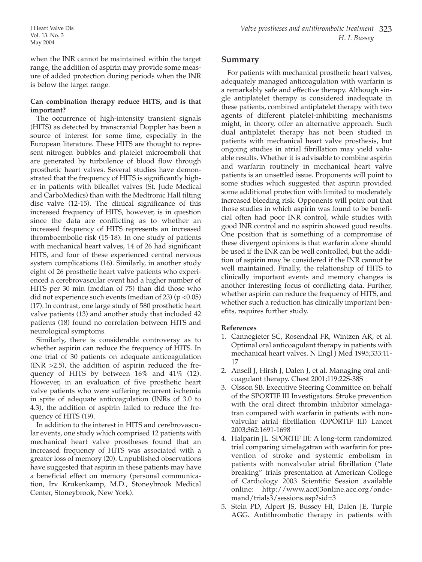## **Can combination therapy reduce HITS, and is that important?**

The occurrence of high-intensity transient signals (HITS) as detected by transcranial Doppler has been a source of interest for some time, especially in the European literature. These HITS are thought to represent nitrogen bubbles and platelet microemboli that are generated by turbulence of blood flow through prosthetic heart valves. Several studies have demonstrated that the frequency of HITS is significantly higher in patients with bileaflet valves (St. Jude Medical and CarboMedics) than with the Medtronic Hall tilting disc valve (12-15). The clinical significance of this increased frequency of HITS, however, is in question since the data are conflicting as to whether an increased frequency of HITS represents an increased thromboembolic risk (15-18). In one study of patients with mechanical heart valves, 14 of 26 had significant HITS, and four of these experienced central nervous system complications (16). Similarly, in another study eight of 26 prosthetic heart valve patients who experienced a cerebrovascular event had a higher number of HITS per 30 min (median of 75) than did those who did not experience such events (median of 23) ( $p < 0.05$ ) (17). In contrast, one large study of 580 prosthetic heart valve patients (13) and another study that included 42 patients (18) found no correlation between HITS and neurological symptoms.

Similarly, there is considerable controversy as to whether aspirin can reduce the frequency of HITS. In one trial of 30 patients on adequate anticoagulation  $(INR > 2.5)$ , the addition of aspirin reduced the frequency of HITS by between 16% and 41% (12). However, in an evaluation of five prosthetic heart valve patients who were suffering recurrent ischemia in spite of adequate anticoagulation (INRs of 3.0 to 4.3), the addition of aspirin failed to reduce the frequency of HITS (19).

In addition to the interest in HITS and cerebrovascular events, one study which comprised 12 patients with mechanical heart valve prostheses found that an increased frequency of HITS was associated with a greater loss of memory (20). Unpublished observations have suggested that aspirin in these patients may have a beneficial effect on memory (personal communication, Irv Krukenkamp, M.D., Stoneybrook Medical Center, Stoneybrook, New York).

## **Summary**

For patients with mechanical prosthetic heart valves, adequately managed anticoagulation with warfarin is a remarkably safe and effective therapy. Although single antiplatelet therapy is considered inadequate in these patients, combined antiplatelet therapy with two agents of different platelet-inhibiting mechanisms might, in theory, offer an alternative approach. Such dual antiplatelet therapy has not been studied in patients with mechanical heart valve prosthesis, but ongoing studies in atrial fibrillation may yield valuable results. Whether it is advisable to combine aspirin and warfarin routinely in mechanical heart valve patients is an unsettled issue. Proponents will point to some studies which suggested that aspirin provided some additional protection with limited to moderately increased bleeding risk. Opponents will point out that those studies in which aspirin was found to be beneficial often had poor INR control, while studies with good INR control and no aspirin showed good results. One position that is something of a compromise of these divergent opinions is that warfarin alone should be used if the INR can be well controlled, but the addition of aspirin may be considered if the INR cannot be well maintained. Finally, the relationship of HITS to clinically important events and memory changes is another interesting focus of conflicting data. Further, whether aspirin can reduce the frequency of HITS, and whether such a reduction has clinically important benefits, requires further study.

## **References**

- 1. Cannegieter SC, Rosendaal FR, Wintzen AR, et al. Optimal oral anticoagulant therapy in patients with mechanical heart valves. N Engl J Med 1995;333:11- 17
- 2. Ansell J, Hirsh J, Dalen J, et al. Managing oral anticoagulant therapy. Chest 2001;119:22S-38S
- 3. Olsson SB. Executive Steering Committee on behalf of the SPORTIF III Investigators. Stroke prevention with the oral direct thrombin inhibitor ximelagatran compared with warfarin in patients with nonvalvular atrial fibrillation (DPORTIF III) Lancet 2003;362:1691-1698
- 4. Halparin JL. SPORTIF III: A long-term randomized trial comparing ximelagatran with warfarin for prevention of stroke and systemic embolism in patients with nonvalvular atrial fibrillation ("late breaking" trials presentation at American College of Cardiology 2003 Scientific Session available online: http://www.acc03online.acc.org/ondemand/trials3/sessions.asp?sid=3
- 5. Stein PD, Alpert JS, Bussey HI, Dalen JE, Turpie AGG. Antithrombotic therapy in patients with